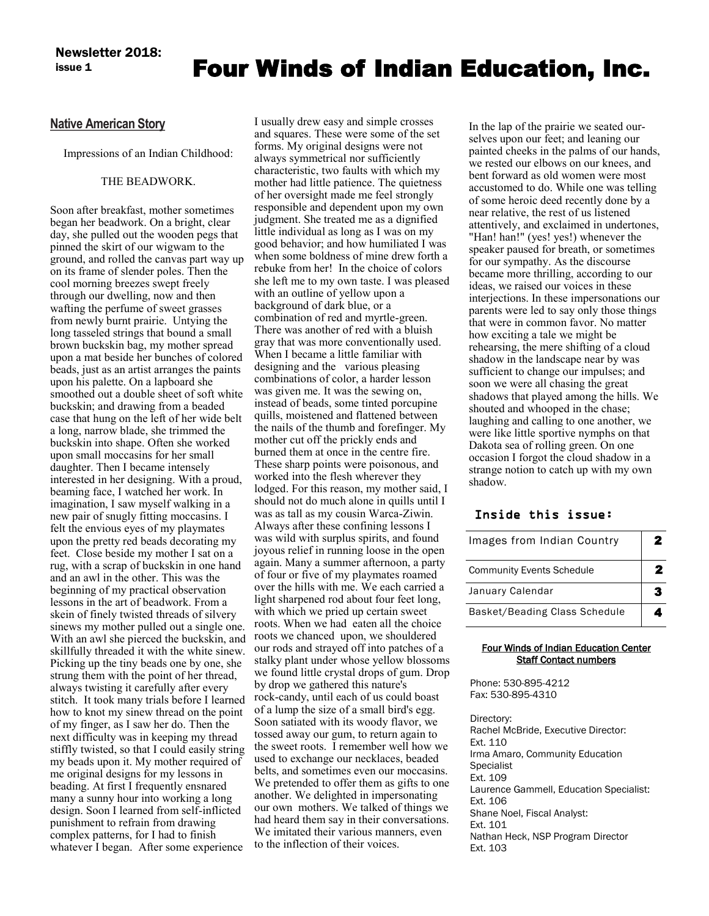## **issue 1** Four Winds of Indian Education, Inc.

### **Native American Story**

Impressions of an Indian Childhood:

### THE BEADWORK.

Soon after breakfast, mother sometimes began her beadwork. On a bright, clear day, she pulled out the wooden pegs that pinned the skirt of our wigwam to the ground, and rolled the canvas part way up on its frame of slender poles. Then the cool morning breezes swept freely through our dwelling, now and then wafting the perfume of sweet grasses from newly burnt prairie. Untying the long tasseled strings that bound a small brown buckskin bag, my mother spread upon a mat beside her bunches of colored beads, just as an artist arranges the paints upon his palette. On a lapboard she smoothed out a double sheet of soft white buckskin; and drawing from a beaded case that hung on the left of her wide belt a long, narrow blade, she trimmed the buckskin into shape. Often she worked upon small moccasins for her small daughter. Then I became intensely interested in her designing. With a proud, beaming face, I watched her work. In imagination, I saw myself walking in a new pair of snugly fitting moccasins. I felt the envious eyes of my playmates upon the pretty red beads decorating my feet. Close beside my mother I sat on a rug, with a scrap of buckskin in one hand and an awl in the other. This was the beginning of my practical observation lessons in the art of beadwork. From a skein of finely twisted threads of silvery sinews my mother pulled out a single one. With an awl she pierced the buckskin, and skillfully threaded it with the white sinew. Picking up the tiny beads one by one, she strung them with the point of her thread, always twisting it carefully after every stitch. It took many trials before I learned how to knot my sinew thread on the point of my finger, as I saw her do. Then the next difficulty was in keeping my thread stiffly twisted, so that I could easily string my beads upon it. My mother required of me original designs for my lessons in beading. At first I frequently ensnared many a sunny hour into working a long design. Soon I learned from self-inflicted punishment to refrain from drawing complex patterns, for I had to finish whatever I began. After some experience

I usually drew easy and simple crosses and squares. These were some of the set forms. My original designs were not always symmetrical nor sufficiently characteristic, two faults with which my mother had little patience. The quietness of her oversight made me feel strongly responsible and dependent upon my own judgment. She treated me as a dignified little individual as long as I was on my good behavior; and how humiliated I was when some boldness of mine drew forth a rebuke from her! In the choice of colors she left me to my own taste. I was pleased with an outline of yellow upon a background of dark blue, or a combination of red and myrtle-green. There was another of red with a bluish gray that was more conventionally used. When I became a little familiar with designing and the various pleasing combinations of color, a harder lesson was given me. It was the sewing on, instead of beads, some tinted porcupine quills, moistened and flattened between the nails of the thumb and forefinger. My mother cut off the prickly ends and burned them at once in the centre fire. These sharp points were poisonous, and worked into the flesh wherever they lodged. For this reason, my mother said, I should not do much alone in quills until I was as tall as my cousin Warca-Ziwin. Always after these confining lessons I was wild with surplus spirits, and found joyous relief in running loose in the open again. Many a summer afternoon, a party of four or five of my playmates roamed over the hills with me. We each carried a light sharpened rod about four feet long, with which we pried up certain sweet roots. When we had eaten all the choice roots we chanced upon, we shouldered our rods and strayed off into patches of a stalky plant under whose yellow blossoms we found little crystal drops of gum. Drop by drop we gathered this nature's rock-candy, until each of us could boast of a lump the size of a small bird's egg. Soon satiated with its woody flavor, we tossed away our gum, to return again to the sweet roots. I remember well how we used to exchange our necklaces, beaded belts, and sometimes even our moccasins. We pretended to offer them as gifts to one another. We delighted in impersonating our own mothers. We talked of things we had heard them say in their conversations. We imitated their various manners, even to the inflection of their voices.

In the lap of the prairie we seated ourselves upon our feet; and leaning our painted cheeks in the palms of our hands, we rested our elbows on our knees, and bent forward as old women were most accustomed to do. While one was telling of some heroic deed recently done by a near relative, the rest of us listened attentively, and exclaimed in undertones, "Han! han!" (yes! yes!) whenever the speaker paused for breath, or sometimes for our sympathy. As the discourse became more thrilling, according to our ideas, we raised our voices in these interjections. In these impersonations our parents were led to say only those things that were in common favor. No matter how exciting a tale we might be rehearsing, the mere shifting of a cloud shadow in the landscape near by was sufficient to change our impulses; and soon we were all chasing the great shadows that played among the hills. We shouted and whooped in the chase; laughing and calling to one another, we were like little sportive nymphs on that Dakota sea of rolling green. On one occasion I forgot the cloud shadow in a strange notion to catch up with my own shadow.

### Inside this issue:

| Images from Indian Country       | 2 |  |  |  |  |
|----------------------------------|---|--|--|--|--|
| <b>Community Events Schedule</b> |   |  |  |  |  |
| January Calendar                 |   |  |  |  |  |
| Basket/Beading Class Schedule    |   |  |  |  |  |

### Four Winds of Indian Education Center Staff Contact numbers

Phone: 530-895-4212 Fax: 530-895-4310

Directory: Rachel McBride, Executive Director: Ext. 110 Irma Amaro, Community Education **Specialist** Ext. 109 Laurence Gammell, Education Specialist: Ext. 106 Shane Noel, Fiscal Analyst: Ext. 101 Nathan Heck, NSP Program Director Ext. 103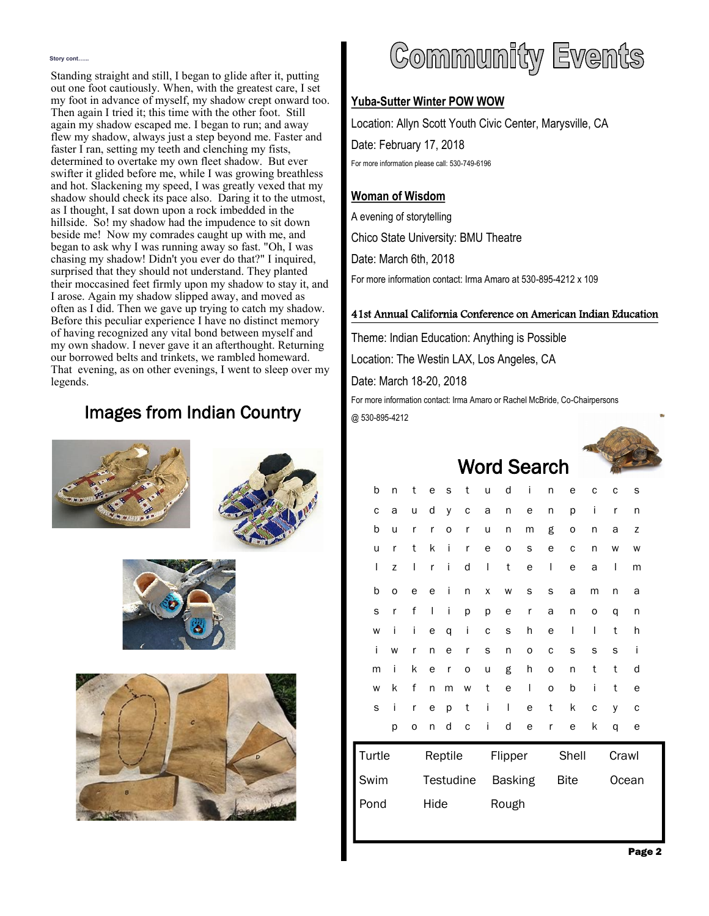#### **Story cont…...**

Standing straight and still, I began to glide after it, putting out one foot cautiously. When, with the greatest care, I set my foot in advance of myself, my shadow crept onward too. Then again I tried it; this time with the other foot. Still again my shadow escaped me. I began to run; and away flew my shadow, always just a step beyond me. Faster and faster I ran, setting my teeth and clenching my fists, determined to overtake my own fleet shadow. But ever swifter it glided before me, while I was growing breathless and hot. Slackening my speed, I was greatly vexed that my shadow should check its pace also. Daring it to the utmost, as I thought, I sat down upon a rock imbedded in the hillside. So! my shadow had the impudence to sit down beside me! Now my comrades caught up with me, and began to ask why I was running away so fast. "Oh, I was chasing my shadow! Didn't you ever do that?" I inquired, surprised that they should not understand. They planted their moccasined feet firmly upon my shadow to stay it, and I arose. Again my shadow slipped away, and moved as often as I did. Then we gave up trying to catch my shadow. Before this peculiar experience I have no distinct memory of having recognized any vital bond between myself and my own shadow. I never gave it an afterthought. Returning our borrowed belts and trinkets, we rambled homeward. That evening, as on other evenings, I went to sleep over my legends.

### Images from Indian Country









# Community Events

### **Yuba-Sutter Winter POW WOW**

Location: Allyn Scott Youth Civic Center, Marysville, CA Date: February 17, 2018 For more information please call: 530-749-6196

### **Woman of Wisdom**

A evening of storytelling Chico State University: BMU Theatre Date: March 6th, 2018 For more information contact: Irma Amaro at 530-895-4212 x 109

### 41st Annual California Conference on American Indian Education

Theme: Indian Education: Anything is Possible Location: The Westin LAX, Los Angeles, CA Date: March 18-20, 2018

For more information contact: Irma Amaro or Rachel McBride, Co-Chairpersons @ 530-895-4212

Word Search



|        |   |                  | ш<br>ч |   |                |   |       |             | uu vi i |              |       |              |   |   |
|--------|---|------------------|--------|---|----------------|---|-------|-------------|---------|--------------|-------|--------------|---|---|
|        | b | n                | t      | e | S              | t | u     | d           | i       | n            | е     | C            | C | S |
|        | C | a                | u      | d | y              | C | a     | n           | е       | n            | p     | İ            | r | n |
|        | b | u                | r      | r | O              | r | u     | n           | m       | g            | o     | n            | a | Z |
|        | u | r                | t      | k | i              | r | e     | 0           | s       | е            | C     | n            | W | W |
|        | I | Z                | I      | r | i              | d | I     | t           | е       | $\mathsf{l}$ | e     | a            | I | m |
|        | b | O                | e      | e | İ              | n | X     | W           | S       | S            | a     | m            | n | а |
|        | S | r                | f      | I | i              | р | р     | е           | r       | a            | n     | 0            | q | n |
|        | W | i                | i      | е | q              | İ | C     | S           | h       | e            | I     | $\mathsf{l}$ | t | h |
|        | İ | W                | r      | n | e              | r | S     | n           | 0       | C            | S     | S            | S | İ |
|        | m | i                | k      | e | r              | 0 | u     | g           | h       | 0            | n     | t            | t | d |
|        | W | k                | f      | n | m              | W | t     | e           | I       | 0            | b     | i            | t | е |
|        | S | i                | r      | e | p              | t | i     | I           | e       | t            | k     | C            | У | С |
|        |   | р                | 0      | n | d              | C | i     | d           | e       | r            | e     | k            | q | е |
| Turtle |   | Reptile          |        |   | Flipper        |   |       | Shell       |         |              | Crawl |              |   |   |
| Swim   |   | <b>Testudine</b> |        |   | <b>Basking</b> |   |       | <b>Bite</b> |         |              | Ocean |              |   |   |
| Pond   |   | Hide             |        |   |                |   | Rough |             |         |              |       |              |   |   |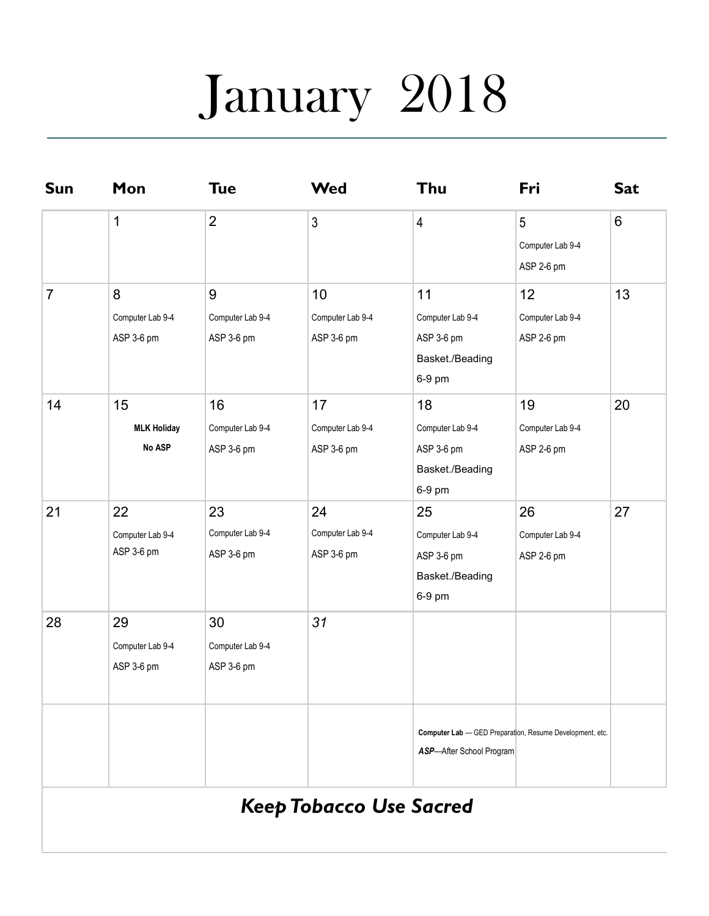# January 2018

| <b>Sun</b>     | Mon                                  | <b>Tue</b>                           | <b>Wed</b>                           | Thu                                                                                         | Fri                                              | <b>Sat</b> |  |
|----------------|--------------------------------------|--------------------------------------|--------------------------------------|---------------------------------------------------------------------------------------------|--------------------------------------------------|------------|--|
|                | 1                                    | $\overline{2}$                       | $\mathfrak{Z}$                       | $\overline{4}$                                                                              | $5\phantom{.}$<br>Computer Lab 9-4<br>ASP 2-6 pm | 6          |  |
| $\overline{7}$ | 8<br>Computer Lab 9-4<br>ASP 3-6 pm  | 9<br>Computer Lab 9-4<br>ASP 3-6 pm  | 10<br>Computer Lab 9-4<br>ASP 3-6 pm | 11<br>Computer Lab 9-4<br>ASP 3-6 pm<br>Basket./Beading<br>6-9 pm                           | 12<br>Computer Lab 9-4<br>ASP 2-6 pm             | 13         |  |
| 14             | 15<br><b>MLK Holiday</b><br>No ASP   | 16<br>Computer Lab 9-4<br>ASP 3-6 pm | 17<br>Computer Lab 9-4<br>ASP 3-6 pm | 18<br>Computer Lab 9-4<br>ASP 3-6 pm<br>Basket./Beading<br>6-9 pm                           | 19<br>Computer Lab 9-4<br>ASP 2-6 pm             | 20         |  |
| 21             | 22<br>Computer Lab 9-4<br>ASP 3-6 pm | 23<br>Computer Lab 9-4<br>ASP 3-6 pm | 24<br>Computer Lab 9-4<br>ASP 3-6 pm | 25<br>Computer Lab 9-4<br>ASP 3-6 pm<br>Basket./Beading<br>6-9 pm                           | 26<br>Computer Lab 9-4<br>ASP 2-6 pm             | 27         |  |
| 28             | 29<br>Computer Lab 9-4<br>ASP 3-6 pm | 30<br>Computer Lab 9-4<br>ASP 3-6 pm | 31                                   |                                                                                             |                                                  |            |  |
|                |                                      |                                      |                                      | Computer Lab - GED Preparation, Resume Development, etc.<br><b>ASP-After School Program</b> |                                                  |            |  |
|                |                                      |                                      | <b>Keep Tobacco Use Sacred</b>       |                                                                                             |                                                  |            |  |